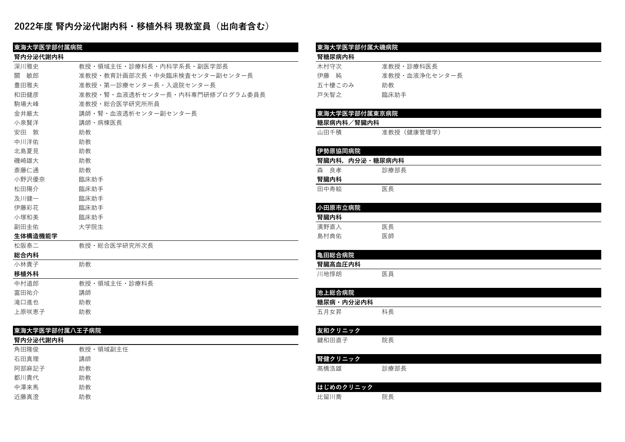# **2022年度 腎内分泌代謝内科・移植外科 現教室員(出向者含む)**

| 東海大学医学部付属病院    |                                | 東海大学医学部付属大磯病院  |               |
|----------------|--------------------------------|----------------|---------------|
| 腎内分泌代謝内科       |                                | 腎糖尿病内科         |               |
| 深川雅史           | 教授・領域主任・診療科長・内科学系長・副医学部長       | 木村守次           | 准教授・診療科医長     |
| 關 敏郎           | 准教授・教育計画部次長・中央臨床検査センター副センター長   | 伊藤 純           | 准教授・血液浄化センター長 |
| 豊田雅夫           | 准教授・第一診療センター長・入退院センター長         | 五十棲このみ         | 助教            |
| 和田健彦           | 准教授・腎・血液透析センター長・内科専門研修プログラム委員長 | 戸矢智之           | 臨床助手          |
| 駒場大峰           | 准教授・総合医学研究所所員                  |                |               |
| 金井厳太           | 講師・腎・血液透析センター副センター長            | 東海大学医学部付属東京病院  |               |
| 小泉賢洋           | 講師・病棟医長                        | 糖尿病内科/腎臓内科     |               |
| 安田 敦           | 助教                             | 山田千積           | 准教授 (健康管理学)   |
| 中川洋佑           | 助教                             |                |               |
| 北島夏見           | 助教                             | 伊勢原協同病院        |               |
| 磯崎雄大           | 助教                             | 腎臓内科、内分泌・糖尿病内科 |               |
| 斎藤仁通           | 助教                             | 森 良孝           | 診療部長          |
| 小野沢優奈          | 臨床助手                           | 腎臓内科           |               |
| 松田陽介           | 臨床助手                           | 田中寿絵           | 医長            |
| 及川健一           | 臨床助手                           |                |               |
| 伊藤彩花           | 臨床助手                           | 小田原市立病院        |               |
| 小塚和美           | 臨床助手                           | 腎臓内科           |               |
| 副田圭佑           | 大学院生                           | 濱野直人           | 医長            |
| 生体構造機能学        |                                | 島村典佑           | 医師            |
| 松阪泰二           | 教授・総合医学研究所次長                   |                |               |
| 総合内科           |                                | 亀田総合病院         |               |
| 小林貴子           | 助教                             | 腎臓高血圧内科        |               |
| 移植外科           |                                | 川地惇朗           | 医員            |
| 中村道郎           | 教授・領域主任・診療科長                   |                |               |
| 富田祐介           | 講師                             | 池上総合病院         |               |
| 滝口進也           | 助教                             | 糖尿病・内分泌内科      |               |
| 上原咲恵子          | 助教                             | 五月女昇           | 科長            |
|                |                                |                |               |
| 東海大学医学部付属八王子病院 |                                | 友和クリニック        |               |
| 腎内分泌代謝内科       |                                | 鍵和田直子          | 院長            |
| 角田隆俊           | 教授·領域副主任                       |                |               |
| 石田真理           | 講師                             | 腎健クリニック        |               |
| 阿部麻記子          | 助教                             | 髙橋浩雄           | 診療部長          |
| 都川貴代           | 助教                             |                |               |

## **東海⼤学医学部付属⼤磯病院**

| <b>猪尿病内科</b> |  |  |
|--------------|--|--|
|--------------|--|--|

| 大村守次    | 准教授・診療科医長     |
|---------|---------------|
| 尹藤<br>純 | 准教授・血液浄化センター長 |
| 五十棲このみ  | 助教            |
| ョ矢智之    | 臨床助手          |

## ⾦井厳太 講師・腎・⾎液透析センター副センター⻑ **東海⼤学医学部付属東京病院**

#### **|糖尿病内科/腎臓内科|**

| ₤教授(健康管理≒ |
|-----------|
|           |

| 伊勢原協同病院 |                |  |
|---------|----------------|--|
|         | 腎臓内科,内分泌・糖尿病内科 |  |
| 良孝<br>森 | 診療部長           |  |
| 腎臓内科    |                |  |
| 田中寿絵    | 医長             |  |
|         |                |  |
| 小田原市立病院 |                |  |
| 腎臓内科    |                |  |
| 濱野直人    | 医長             |  |
| 自村曲佐    | 医師             |  |

| 亀田総合病院  |    |
|---------|----|
| 腎臓高血圧内科 |    |
| 川地惇朗    | 医員 |

| 2 上総合伪阮          |    |
|------------------|----|
| <b>唐尿病・内分泌内科</b> |    |
| 五月女昇             | 科長 |

| 友和クリニック |      |
|---------|------|
| 鍵和田直子   | 院長   |
|         |      |
| 腎健クリニック |      |
| 高橋浩雄    | 診療部長 |
|         |      |

| 中澤来馬 | 助教 | はじめのクリニック |    |
|------|----|-----------|----|
| 近藤真澄 | 助教 | 比留川喬      | 院長 |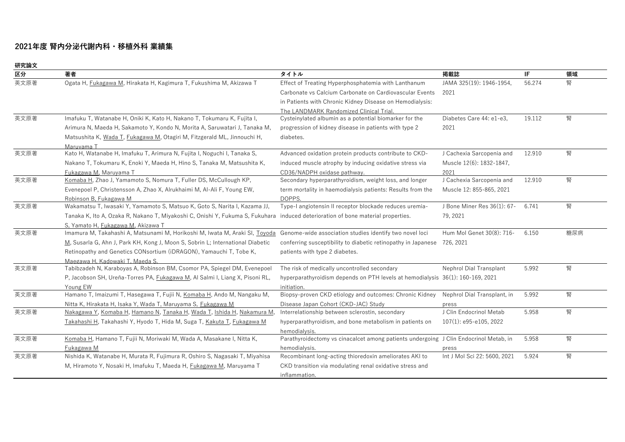# **2021年度 腎内分泌代謝内科・移植外科 業績集**

**研究論⽂**

| ₩Ⅰ九酬人<br>区分 | 著者                                                                                                                               | タイトル                                                                                  | 掲載誌                          | IF.    | 領域  |
|-------------|----------------------------------------------------------------------------------------------------------------------------------|---------------------------------------------------------------------------------------|------------------------------|--------|-----|
| 英文原著        | Ogata H, Fukagawa M, Hirakata H, Kagimura T, Fukushima M, Akizawa T                                                              | Effect of Treating Hyperphosphatemia with Lanthanum                                   | JAMA 325(19): 1946-1954,     | 56.274 | 腎   |
|             |                                                                                                                                  | Carbonate vs Calcium Carbonate on Cardiovascular Events                               | 2021                         |        |     |
|             |                                                                                                                                  | in Patients with Chronic Kidney Disease on Hemodialysis:                              |                              |        |     |
|             |                                                                                                                                  | The LANDMARK Randomized Clinical Trial.                                               |                              |        |     |
| 英文原著        | Imafuku T, Watanabe H, Oniki K, Kato H, Nakano T, Tokumaru K, Fujita I,                                                          | Cysteinylated albumin as a potential biomarker for the                                | Diabetes Care 44: e1-e3.     | 19.112 | 腎   |
|             | Arimura N, Maeda H, Sakamoto Y, Kondo N, Morita A, Saruwatari J, Tanaka M,                                                       | progression of kidney disease in patients with type 2                                 | 2021                         |        |     |
|             | Matsushita K, Wada T, Fukagawa M, Otagiri M, Fitzgerald ML, Jinnouchi H,                                                         | diabetes.                                                                             |                              |        |     |
|             | Maruvama T                                                                                                                       |                                                                                       |                              |        |     |
| 英文原著        | Kato H, Watanabe H, Imafuku T, Arimura N, Fujita I, Noguchi I, Tanaka S,                                                         | Advanced oxidation protein products contribute to CKD-                                | J Cachexia Sarcopenia and    | 12.910 | 腎   |
|             | Nakano T, Tokumaru K, Enoki Y, Maeda H, Hino S, Tanaka M, Matsushita K,                                                          | induced muscle atrophy by inducing oxidative stress via                               | Muscle 12(6): 1832-1847,     |        |     |
|             | Fukagawa M. Maruvama T                                                                                                           | CD36/NADPH oxidase pathway.                                                           | 2021                         |        |     |
| 英文原著        | Komaba H, Zhao J, Yamamoto S, Nomura T, Fuller DS, McCullough KP,                                                                | Secondary hyperparathyroidism, weight loss, and longer                                | J Cachexia Sarcopenia and    | 12.910 | 腎   |
|             | Evenepoel P, Christensson A, Zhao X, Alrukhaimi M, Al-Ali F, Young EW,                                                           | term mortality in haemodialysis patients: Results from the                            | Muscle 12: 855-865, 2021     |        |     |
|             | Robinson B. Fukagawa M                                                                                                           | DOPPS.                                                                                |                              |        |     |
| 英文原著        | Wakamatsu T, Iwasaki Y, Yamamoto S, Matsuo K, Goto S, Narita I, Kazama JJ,                                                       | Type-I angiotensin II receptor blockade reduces uremia-                               | J Bone Miner Res 36(1): 67-  | 6.741  | 腎   |
|             | Tanaka K, Ito A, Ozaka R, Nakano T, Miyakoshi C, Onishi Y, Fukuma S, Fukuhara induced deterioration of bone material properties. |                                                                                       | 79, 2021                     |        |     |
|             | S. Yamato H. Fukagawa M. Akizawa T                                                                                               |                                                                                       |                              |        |     |
| 英文原著        | Imamura M, Takahashi A, Matsunami M, Horikoshi M, Iwata M, Araki SI, Toyoda                                                      | Genome-wide association studies identify two novel loci                               | Hum Mol Genet 30(8): 716-    | 6.150  | 糖尿病 |
|             | M, Susarla G, Ahn J, Park KH, Kong J, Moon S, Sobrin L; International Diabetic                                                   | conferring susceptibility to diabetic retinopathy in Japanese 726, 2021               |                              |        |     |
|             | Retinopathy and Genetics CONsortium (iDRAGON), Yamauchi T, Tobe K,                                                               | patients with type 2 diabetes.                                                        |                              |        |     |
|             | Maegawa H. Kadowaki T. Maeda S.                                                                                                  |                                                                                       |                              |        |     |
| 英文原著        | Tabibzadeh N, Karaboyas A, Robinson BM, Csomor PA, Spiegel DM, Evenepoel                                                         | The risk of medically uncontrolled secondary                                          | Nephrol Dial Transplant      | 5.992  | 腎   |
|             | P, Jacobson SH, Ureña-Torres PA, Fukagawa M, Al Salmi I, Liang X, Pisoni RL,                                                     | hyperparathyroidism depends on PTH levels at hemodialysis 36(1): 160-169, 2021        |                              |        |     |
|             | Young EW                                                                                                                         | initiation.                                                                           |                              |        |     |
| 英文原著        | Hamano T, Imaizumi T, Hasegawa T, Fujii N, Komaba H, Ando M, Nangaku M,                                                          | Biopsy-proven CKD etiology and outcomes: Chronic Kidney                               | Nephrol Dial Transplant, in  | 5.992  | 腎   |
|             | Nitta K, Hirakata H, Isaka Y, Wada T, Maruyama S, <i>Fukagawa M</i>                                                              | Disease Japan Cohort (CKD-JAC) Study                                                  | press                        |        |     |
| 英文原著        | Nakagawa Y, Komaba H, Hamano N, Tanaka H, Wada T, Ishida H, Nakamura M,                                                          | Interrelationship between sclerostin, secondary                                       | J Clin Endocrinol Metab      | 5.958  | 腎   |
|             | Takahashi H, Takahashi Y, Hyodo T, Hida M, Suga T, Kakuta T, Fukagawa M                                                          | hyperparathyroidism, and bone metabolism in patients on                               | 107(1): e95-e105, 2022       |        |     |
|             |                                                                                                                                  | hemodialysis.                                                                         |                              |        |     |
| 英文原著        | Komaba H, Hamano T, Fujii N, Moriwaki M, Wada A, Masakane I, Nitta K,                                                            | Parathyroidectomy vs cinacalcet among patients undergoing J Clin Endocrinol Metab, in |                              | 5.958  | 腎   |
|             | Fukagawa M                                                                                                                       | hemodialysis.                                                                         | press                        |        |     |
| 英文原著        | Nishida K, Watanabe H, Murata R, Fujimura R, Oshiro S, Nagasaki T, Miyahisa                                                      | Recombinant long-acting thioredoxin ameliorates AKI to                                | Int J Mol Sci 22: 5600, 2021 | 5.924  | 腎   |
|             | M, Hiramoto Y, Nosaki H, Imafuku T, Maeda H, <i>Fukagawa M</i> , Maruyama T                                                      | CKD transition via modulating renal oxidative stress and                              |                              |        |     |
|             |                                                                                                                                  | inflammation.                                                                         |                              |        |     |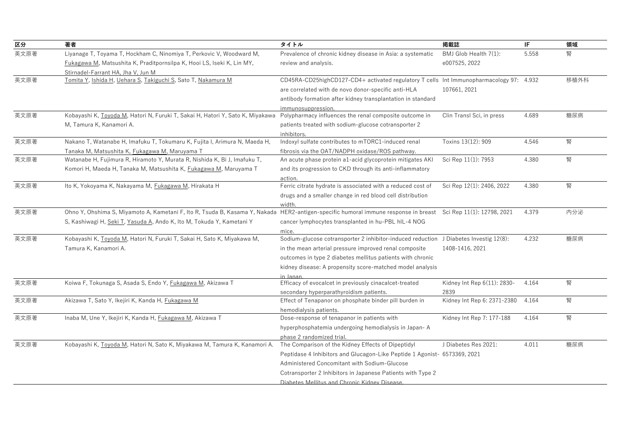| 区分   | 著者                                                                                                                                                                                                                                      | タイトル                                                                                                                                                                                                                                                                                            | 掲載誌                                    | IF.   | 領域   |
|------|-----------------------------------------------------------------------------------------------------------------------------------------------------------------------------------------------------------------------------------------|-------------------------------------------------------------------------------------------------------------------------------------------------------------------------------------------------------------------------------------------------------------------------------------------------|----------------------------------------|-------|------|
| 英文原著 | Liyanage T, Toyama T, Hockham C, Ninomiya T, Perkovic V, Woodward M,<br>Fukagawa M, Matsushita K, Praditpornsilpa K, Hooi LS, Iseki K, Lin MY,<br>Stirnadel-Farrant HA, Jha V, Jun M                                                    | Prevalence of chronic kidney disease in Asia: a systematic<br>review and analysis.                                                                                                                                                                                                              | BMJ Glob Health 7(1):<br>e007525, 2022 | 5.558 | 腎    |
| 英文原著 | Tomita Y, Ishida H, Uehara S, Takiguchi S, Sato T, Nakamura M                                                                                                                                                                           | CD45RA-CD25highCD127-CD4+ activated regulatory T cells Int Immunopharmacology 97: 4.932<br>are correlated with de novo donor-specific anti-HLA<br>antibody formation after kidney transplantation in standard<br>immunosuppression.                                                             | 107661, 2021                           |       | 移植外科 |
| 英文原著 | Kobayashi K, Toyoda M, Hatori N, Furuki T, Sakai H, Hatori Y, Sato K, Miyakawa<br>M, Tamura K, Kanamori A.                                                                                                                              | Polypharmacy influences the renal composite outcome in<br>patients treated with sodium-glucose cotransporter 2<br>inhibitors.                                                                                                                                                                   | Clin Transl Sci, in press              | 4.689 | 糖尿病  |
| 英文原著 | Nakano T, Watanabe H, Imafuku T, Tokumaru K, Fujita I, Arimura N, Maeda H,<br>Tanaka M, Matsushita K, <i>Fukagawa M</i> , Maruyama T                                                                                                    | Indoxyl sulfate contributes to mTORC1-induced renal<br>fibrosis via the OAT/NADPH oxidase/ROS pathway.                                                                                                                                                                                          | Toxins 13(12): 909                     | 4.546 | 腎    |
| 英文原著 | Watanabe H, Fujimura R, Hiramoto Y, Murata R, Nishida K, Bi J, Imafuku T,<br>Komori H, Maeda H, Tanaka M, Matsushita K, <i>Fukagawa M</i> , Maruyama T                                                                                  | An acute phase protein a1-acid glycoprotein mitigates AKI<br>and its progression to CKD through its anti-inflammatory<br>action.                                                                                                                                                                | Sci Rep 11(1): 7953                    | 4.380 | 腎    |
| 英文原著 | Ito K, Yokoyama K, Nakayama M, Fukagawa M, Hirakata H                                                                                                                                                                                   | Ferric citrate hydrate is associated with a reduced cost of<br>drugs and a smaller change in red blood cell distribution<br>width                                                                                                                                                               | Sci Rep 12(1): 2406, 2022              | 4.380 | 腎    |
| 英文原著 | Ohno Y, Ohshima S, Miyamoto A, Kametani F, Ito R, Tsuda B, Kasama Y, Nakada HER2-antigen-specific humoral immune response in breast Sci Rep 11(1): 12798, 2021<br>S, Kashiwagi H, Seki T, Yasuda A, Ando K, Ito M, Tokuda Y, Kametani Y | cancer lymphocytes transplanted in hu-PBL hIL-4 NOG<br>mice.                                                                                                                                                                                                                                    |                                        | 4.379 | 内分泌  |
| 英文原著 | Kobayashi K, Toyoda M, Hatori N, Furuki T, Sakai H, Sato K, Miyakawa M,<br>Tamura K, Kanamori A.                                                                                                                                        | Sodium-glucose cotransporter 2 inhibitor-induced reduction J Diabetes Investig 12(8):<br>in the mean arterial pressure improved renal composite<br>outcomes in type 2 diabetes mellitus patients with chronic<br>kidney disease: A propensity score-matched model analysis<br>in Janan          | 1408-1416, 2021                        | 4.232 | 糖尿病  |
| 英文原著 | Koiwa F, Tokunaga S, Asada S, Endo Y, <i>Fukagawa M</i> , Akizawa T                                                                                                                                                                     | Efficacy of evocalcet in previously cinacalcet-treated<br>secondary hyperparathyroidism patients.                                                                                                                                                                                               | Kidney Int Rep 6(11): 2830-<br>2839    | 4.164 | 腎    |
| 英文原著 | Akizawa T, Sato Y, Ikejiri K, Kanda H, Fukagawa M                                                                                                                                                                                       | Effect of Tenapanor on phosphate binder pill burden in<br>hemodialysis patients.                                                                                                                                                                                                                | Kidney Int Rep 6: 2371-2380            | 4.164 | 腎    |
| 英文原著 | Inaba M, Une Y, Ikejiri K, Kanda H, <i>Fukagawa M</i> , Akizawa T                                                                                                                                                                       | Dose-response of tenapanor in patients with<br>hyperphosphatemia undergoing hemodialysis in Japan-A<br>phase 2 randomized trial                                                                                                                                                                 | Kidney Int Rep 7: 177-188              | 4.164 | 腎    |
| 英文原著 | Kobayashi K, Toyoda M, Hatori N, Sato K, Miyakawa M, Tamura K, Kanamori A.                                                                                                                                                              | The Comparison of the Kidney Effects of Dipeptidyl<br>Peptidase 4 Inhibitors and Glucagon-Like Peptide 1 Agonist- 6573369, 2021<br>Administered Concomitant with Sodium-Glucose<br>Cotransporter 2 Inhibitors in Japanese Patients with Type 2<br>Diabetes Mellitus and Chronic Kidney Disease. | J Diabetes Res 2021:                   | 4.011 | 糖尿病  |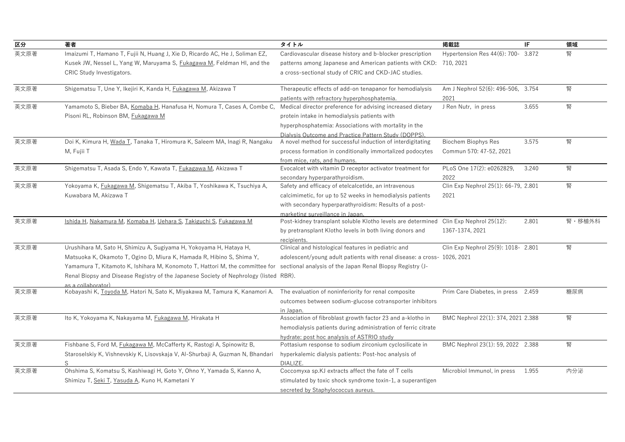| 区分   | 著者                                                                                                          | タイトル                                                                                 | 掲載誌                                  | IF    | 領域     |
|------|-------------------------------------------------------------------------------------------------------------|--------------------------------------------------------------------------------------|--------------------------------------|-------|--------|
| 英文原著 | Imaizumi T, Hamano T, Fujii N, Huang J, Xie D, Ricardo AC, He J, Soliman EZ,                                | Cardiovascular disease history and b-blocker prescription                            | Hypertension Res 44(6): 700- 3.872   |       | 腎      |
|      | Kusek JW, Nessel L, Yang W, Maruyama S, Fukagawa M, Feldman HI, and the                                     | patterns among Japanese and American patients with CKD: 710, 2021                    |                                      |       |        |
|      | CRIC Study Investigators.                                                                                   | a cross-sectional study of CRIC and CKD-JAC studies.                                 |                                      |       |        |
| 英文原著 | Shigematsu T, Une Y, Ikejiri K, Kanda H, <i>Fukagawa M</i> , Akizawa T                                      | Therapeutic effects of add-on tenapanor for hemodialysis                             | Am J Nephrol 52(6): 496-506, 3.754   |       | 腎      |
|      |                                                                                                             | patients with refractory hyperphosphatemia.                                          | 2021                                 |       |        |
| 英文原著 | Yamamoto S, Bieber BA, Komaba H, Hanafusa H, Nomura T, Cases A, Combe C,                                    | Medical director preference for advising increased dietary                           | J Ren Nutr, in press                 | 3.655 | 腎      |
|      | Pisoni RL, Robinson BM, Fukagawa M                                                                          | protein intake in hemodialysis patients with                                         |                                      |       |        |
|      |                                                                                                             | hyperphosphatemia: Associations with mortality in the                                |                                      |       |        |
|      |                                                                                                             | Dialvsis Outcome and Practice Pattern Study (DOPPS)                                  |                                      |       |        |
| 英文原著 | Doi K, Kimura H, Wada T, Tanaka T, Hiromura K, Saleem MA, Inagi R, Nangaku                                  | A novel method for successful induction of interdigitating                           | <b>Biochem Biophys Res</b>           | 3.575 | 腎      |
|      | M, Fujii T                                                                                                  | process formation in conditionally immortalized podocytes                            | Commun 570: 47-52, 2021              |       |        |
|      |                                                                                                             | from mice, rats, and humans.                                                         |                                      |       |        |
| 英文原著 | Shigematsu T, Asada S, Endo Y, Kawata T, <i>Fukagawa M</i> , Akizawa T                                      | Evocalcet with vitamin D receptor activator treatment for                            | PLoS One 17(2): e0262829,            | 3.240 | 腎      |
|      |                                                                                                             | secondary hyperparathyroidism.                                                       | 2022                                 |       |        |
| 英文原著 | Yokoyama K, Fukagawa M, Shigematsu T, Akiba T, Yoshikawa K, Tsuchiya A,                                     | Safety and efficacy of etelcalcetide, an intravenous                                 | Clin Exp Nephrol 25(1): 66-79, 2.801 |       | 腎      |
|      | Kuwabara M, Akizawa T                                                                                       | calcimimetic, for up to 52 weeks in hemodialysis patients                            | 2021                                 |       |        |
|      |                                                                                                             | with secondary hyperparathyroidism: Results of a post-                               |                                      |       |        |
|      |                                                                                                             | marketing surveillance in Japan.                                                     |                                      |       |        |
| 英文原著 | Ishida H, Nakamura M, Komaba H, Uehara S, Takiguchi S, Fukagawa M                                           | Post-kidney transplant soluble Klotho levels are determined Clin Exp Nephrol 25(12): |                                      | 2.801 | 腎・移植外科 |
|      |                                                                                                             | by pretransplant Klotho levels in both living donors and                             | 1367-1374, 2021                      |       |        |
|      |                                                                                                             | recipients.                                                                          |                                      |       |        |
| 英文原著 | Urushihara M, Sato H, Shimizu A, Sugiyama H, Yokoyama H, Hataya H,                                          | Clinical and histological features in pediatric and                                  | Clin Exp Nephrol 25(9): 1018- 2.801  |       | 腎      |
|      | Matsuoka K, Okamoto T, Ogino D, Miura K, Hamada R, Hibino S, Shima Y,                                       | adolescent/young adult patients with renal disease: a cross- 1026, 2021              |                                      |       |        |
|      | Yamamura T, Kitamoto K, Ishihara M, Konomoto T, Hattori M, the committee for                                | sectional analysis of the Japan Renal Biopsy Registry (J-                            |                                      |       |        |
|      | Renal Biopsy and Disease Registry of the Japanese Society of Nephrology (listed RBR).<br>as a collaborator) |                                                                                      |                                      |       |        |
| 英文原著 | Kobayashi K, Toyoda M, Hatori N, Sato K, Miyakawa M, Tamura K, Kanamori A.                                  | The evaluation of noninferiority for renal composite                                 | Prim Care Diabetes, in press 2.459   |       | 糖尿病    |
|      |                                                                                                             | outcomes between sodium-glucose cotransporter inhibitors                             |                                      |       |        |
|      |                                                                                                             | in Japan.                                                                            |                                      |       |        |
| 英文原著 | Ito K, Yokoyama K, Nakayama M, <i>Fukagawa M</i> , Hirakata H                                               | Association of fibroblast growth factor 23 and a-klotho in                           | BMC Nephrol 22(1): 374, 2021 2.388   |       | 腎      |
|      |                                                                                                             | hemodialysis patients during administration of ferric citrate                        |                                      |       |        |
|      |                                                                                                             | hydrate: post hoc analysis of ASTRIO study                                           |                                      |       |        |
| 英文原著 | Fishbane S, Ford M, Fukagawa M, McCafferty K, Rastogi A, Spinowitz B,                                       | Pottasium response to sodium zirconium cyclosilicate in                              | BMC Nephrol 23(1): 59, 2022 2.388    |       | 腎      |
|      | Staroselskiy K, Vishnevskiy K, Lisovskaja V, Al-Shurbaji A, Guzman N, Bhandari                              | hyperkalemic dialysis patients: Post-hoc analysis of                                 |                                      |       |        |
|      | S                                                                                                           | DIALIZE.                                                                             |                                      |       |        |
| 英文原著 | Ohshima S, Komatsu S, Kashiwagi H, Goto Y, Ohno Y, Yamada S, Kanno A,                                       | Coccomyxa sp.KJ extracts affect the fate of T cells                                  | Microbiol Immunol, in press          | 1.955 | 内分泌    |
|      | Shimizu T, Seki T, Yasuda A, Kuno H, Kametani Y                                                             | stimulated by toxic shock syndrome toxin-1, a superantigen                           |                                      |       |        |
|      |                                                                                                             | secreted by Staphylococcus aureus.                                                   |                                      |       |        |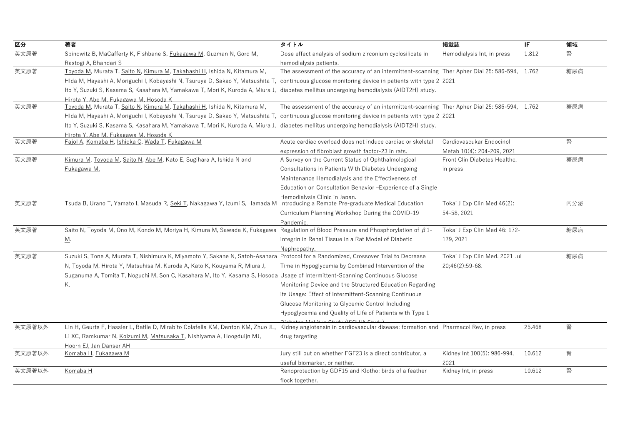| 区分     | 著者                                                                                                                                                                   | タイトル                                                                                          | 掲載誌                            | IF     | 領域  |
|--------|----------------------------------------------------------------------------------------------------------------------------------------------------------------------|-----------------------------------------------------------------------------------------------|--------------------------------|--------|-----|
| 英文原著   | Spinowitz B, MaCafferty K, Fishbane S, <i>Fukagawa M</i> , Guzman N, Gord M,                                                                                         | Dose effect analysis of sodium zirconium cyclosilicate in                                     | Hemodialysis Int, in press     | 1.812  | 腎   |
|        | Rastogi A, Bhandari S                                                                                                                                                | hemodialysis patients.                                                                        |                                |        |     |
| 英文原著   | Toyoda M, Murata T, Saito N, Kimura M, Takahashi H, Ishida N, Kitamura M,                                                                                            | The assessment of the accuracy of an intermittent-scanning Ther Apher Dial 25: 586-594, 1.762 |                                |        | 糖尿病 |
|        | Hlda M, Hayashi A, Moriguchi I, Kobayashi N, Tsuruya D, Sakao Y, Matsushita T, continuous glucose monitoring device in patients with type 2 2021                     |                                                                                               |                                |        |     |
|        | Ito Y, Suzuki S, Kasama S, Kasahara M, Yamakawa T, Mori K, Kuroda A, Miura J, diabetes mellitus undergoing hemodialysis (AIDT2H) study.                              |                                                                                               |                                |        |     |
|        | Hirota Y. Abe M. Fukagawa M. Hosoda K                                                                                                                                |                                                                                               |                                |        |     |
| 英文原著   | Toyoda M, Murata T, Saito N, Kimura M, Takahashi H, Ishida N, Kitamura M,                                                                                            | The assessment of the accuracy of an intermittent-scanning Ther Apher Dial 25: 586-594, 1.762 |                                |        | 糖尿病 |
|        | Hlda M, Hayashi A, Moriguchi I, Kobayashi N, Tsuruya D, Sakao Y, Matsushita T, continuous glucose monitoring device in patients with type 2 2021                     |                                                                                               |                                |        |     |
|        | Ito Y, Suzuki S, Kasama S, Kasahara M, Yamakawa T, Mori K, Kuroda A, Miura J, diabetes mellitus undergoing hemodialysis (AIDT2H) study.                              |                                                                                               |                                |        |     |
|        | Hirota Y. Abe M. Fukagawa M. Hosoda K                                                                                                                                |                                                                                               |                                |        |     |
| 英文原著   | Fajol A, Komaba H, Ishioka C, Wada T, Fukagawa M                                                                                                                     | Acute cardiac overload does not induce cardiac or skeletal                                    | Cardiovascukar Endocinol       |        | 腎   |
|        |                                                                                                                                                                      | expression of fibroblast growth factor-23 in rats.                                            | Metab 10(4): 204-209, 2021     |        |     |
| 英文原著   | Kimura M, Toyoda M, Saito N, Abe M, Kato E, Sugihara A, Ishida N and                                                                                                 | A Survey on the Current Status of Ophthalmological                                            | Front Clin Diabetes Healthc,   |        | 糖尿病 |
|        | Fukagawa M.                                                                                                                                                          | Consultations in Patients With Diabetes Undergoing                                            | in press                       |        |     |
|        |                                                                                                                                                                      | Maintenance Hemodialysis and the Effectiveness of                                             |                                |        |     |
|        |                                                                                                                                                                      | Education on Consultation Behavior - Experience of a Single                                   |                                |        |     |
|        |                                                                                                                                                                      | Hemodialysis Clinic in Janan                                                                  |                                |        |     |
| 英文原著   | Tsuda B, Urano T, Yamato I, Masuda R, Seki T, Nakagawa Y, Izumi S, Hamada M Introducing a Remote Pre-graduate Medical Education                                      |                                                                                               | Tokai J Exp Clin Med 46(2):    |        | 内分泌 |
|        |                                                                                                                                                                      | Curriculum Planning Workshop During the COVID-19                                              | 54-58, 2021                    |        |     |
|        |                                                                                                                                                                      | Pandemic.                                                                                     |                                |        |     |
| 英文原著   | Saito N, Toyoda M, Ono M, Kondo M, Moriya H, Kimura M, Sawada K, Fukagawa                                                                                            | Regulation of Blood Pressure and Phosphorylation of $\beta$ 1-                                | Tokai J Exp Clin Med 46: 172-  |        | 糖尿病 |
|        | <u>M</u> .                                                                                                                                                           | integrin in Renal Tissue in a Rat Model of Diabetic                                           | 179, 2021                      |        |     |
|        |                                                                                                                                                                      | Nephropathy.                                                                                  |                                |        |     |
| 英文原著   | Suzuki S, Tone A, Murata T, Nishimura K, Miyamoto Y, Sakane N, Satoh-Asahara Protocol for a Randomized, Crossover Trial to Decrease                                  |                                                                                               | Tokai J Exp Clin Med. 2021 Jul |        | 糖尿病 |
|        | N, Toyoda M, Hirota Y, Matsuhisa M, Kuroda A, Kato K, Kouyama R, Miura J,                                                                                            | Time in Hypoglycemia by Combined Intervention of the                                          | 20;46(2):59-68.                |        |     |
|        | Suganuma A, Tomita T, Noguchi M, Son C, Kasahara M, Ito Y, Kasama S, Hosoda Usage of Intermittent-Scanning Continuous Glucose                                        |                                                                                               |                                |        |     |
|        | К.                                                                                                                                                                   | Monitoring Device and the Structured Education Regarding                                      |                                |        |     |
|        |                                                                                                                                                                      | its Usage: Effect of Intermittent-Scanning Continuous                                         |                                |        |     |
|        |                                                                                                                                                                      | Glucose Monitoring to Glycemic Control Including                                              |                                |        |     |
|        |                                                                                                                                                                      | Hypoglycemia and Quality of Life of Patients with Type 1                                      |                                |        |     |
|        |                                                                                                                                                                      | $-14.1114 \cdot 244$                                                                          |                                |        |     |
| 英文原著以外 | Lin H, Geurts F, Hassler L, Batlle D, Mirabito Colafella KM, Denton KM, Zhuo JL, Kidney angiotensin in cardiovascular disease: formation and Pharmacol Rev, in press |                                                                                               |                                | 25.468 | 腎   |
|        | Li XC, Ramkumar N, Koizumi M, Matsusaka T, Nishiyama A, Hoogduijn MJ,                                                                                                | drug targeting                                                                                |                                |        |     |
|        | Hoorn EJ, Jan Danser AH                                                                                                                                              |                                                                                               |                                |        |     |
| 英文原著以外 | Komaba H, Fukagawa M                                                                                                                                                 | Jury still out on whether FGF23 is a direct contributor, a                                    | Kidney Int 100(5): 986-994,    | 10.612 | 腎   |
|        |                                                                                                                                                                      | useful biomarker, or neither.                                                                 | 2021                           |        |     |
| 英文原著以外 | Komaba H                                                                                                                                                             | Renoprotection by GDF15 and Klotho: birds of a feather                                        | Kidney Int, in press           | 10.612 | 腎   |
|        |                                                                                                                                                                      | flock together.                                                                               |                                |        |     |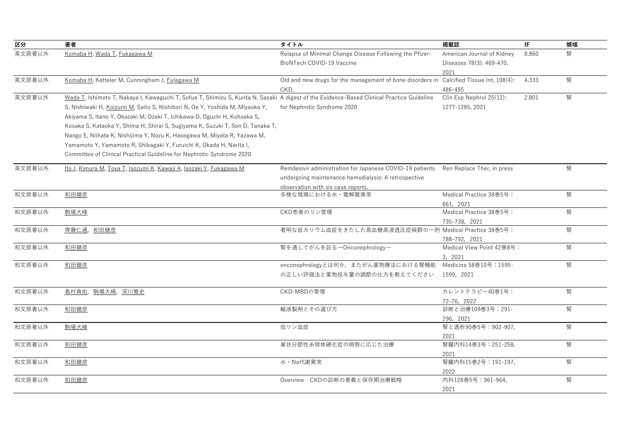| 区分     | 著者                                                                                                                                                                                                                                                                                                                                                                                                                                                                                                                                                                                                                   | タイトル                                                                                                                                                                              | 掲載誌                                                            | IF    | 領域 |
|--------|----------------------------------------------------------------------------------------------------------------------------------------------------------------------------------------------------------------------------------------------------------------------------------------------------------------------------------------------------------------------------------------------------------------------------------------------------------------------------------------------------------------------------------------------------------------------------------------------------------------------|-----------------------------------------------------------------------------------------------------------------------------------------------------------------------------------|----------------------------------------------------------------|-------|----|
| 英文原著以外 | Komaba H, Wada T, Fukagawa M                                                                                                                                                                                                                                                                                                                                                                                                                                                                                                                                                                                         | Relapse of Minimal Change Disease Following the Pfizer-<br>BioNTech COVID-19 Vaccine                                                                                              | American Journal of Kidney<br>Diseases 78(3): 469-470,<br>2021 | 8.860 | 腎  |
| 英文原著以外 | Komaba H, Ketteler M, Cunningham J, Fulagawa M                                                                                                                                                                                                                                                                                                                                                                                                                                                                                                                                                                       | Old and new drugs for the management of bone disorders in Calcified Tissue Int, 108(4):<br>CKD.                                                                                   | 486-495                                                        | 4.333 | 腎  |
| 英文原著以外 | Wada T, Ishimoto T, Nakaya I, Kawaguchi T, Sofue T, Shimizu S, Kurita N, Sasaki A digest of the Evidence-Based Clinical Practice Guideline<br>S, Nishiwaki H, Koizumi M, Saito S, Nishibori N, Oe Y, Yoshida M, Miyaoka Y,<br>Akiyama S, Itano Y, Okazaki M, Ozeki T, Ichikawa D, Oguchi H, Kohsaka S,<br>Kosaka S, Kataoka Y, Shima H, Shirai S, Sugiyama K, Suzuki T, Son D, Tanaka T,<br>Nango E, Niihata K, Nishijima Y, Nozu K, Hasegawa M, Miyata R, Yazawa M,<br>Yamamoto Y, Yamamoto R, Shibagaki Y, Furuichi K, Okada H, Narita I,<br>Committee of Clinical Practical Guideline for Nephrotic Syndrome 2020 | for Nephrotic Syndrome 2020                                                                                                                                                       | Clin Exp Nephrol 25(12):<br>1277-1285, 2021                    | 2.801 | 腎  |
| 英文原著以外 | Ito J, Kimura M, Toya T, Isozumi K, Kawaji A, Isozaki Y, Fukagawa M                                                                                                                                                                                                                                                                                                                                                                                                                                                                                                                                                  | Remdesivir administration for Japanese COVID-19 patients Ren Replace Ther, in press<br>undergoing maintenance hemodialysis: A retrospective<br>observation with six case reports. |                                                                |       | 腎  |
| 和文原著以外 | 和田健彦                                                                                                                                                                                                                                                                                                                                                                                                                                                                                                                                                                                                                 | 多様な現場における水・電解質異常                                                                                                                                                                  | Medical Practice 38巻5号:<br>661, 2021                           |       | 腎  |
| 和文原著以外 | 駒場大峰                                                                                                                                                                                                                                                                                                                                                                                                                                                                                                                                                                                                                 | CKD患者のリン管理                                                                                                                                                                        | Medical Practice 38巻5号:<br>735-738, 2021                       |       | 腎  |
| 和文原著以外 | 齊藤仁通, 和田健彦                                                                                                                                                                                                                                                                                                                                                                                                                                                                                                                                                                                                           | 著明な低カリウム血症をきたした高血糖高浸透圧症候群の一例 Medical Practice 38巻5号:                                                                                                                              | 788-792, 2021                                                  |       | 腎  |
| 和文原著以外 | 和田健彦                                                                                                                                                                                                                                                                                                                                                                                                                                                                                                                                                                                                                 | 腎を通してがんを診る~Onconephrology~                                                                                                                                                        | Medical View Point 42巻8号:<br>3, 2021                           |       | 腎  |
| 和文原著以外 | 和田健彦                                                                                                                                                                                                                                                                                                                                                                                                                                                                                                                                                                                                                 | onconephrologyとは何か、またがん薬物療法における腎機能<br>の正しい評価法と薬物投与量の調節の仕方を教えてください                                                                                                                 | Medicina 58巻10号:1595-<br>1599, 2021                            |       | 腎  |
| 和文原著以外 | 島村典佑, 駒場大峰, 深川雅史                                                                                                                                                                                                                                                                                                                                                                                                                                                                                                                                                                                                     | CKD-MBDの管理                                                                                                                                                                        | カレントテラピー40巻1号:<br>72-76, 2022                                  |       | 腎  |
| 和文原著以外 | 和田健彦                                                                                                                                                                                                                                                                                                                                                                                                                                                                                                                                                                                                                 | 輸液製剤とその選び方                                                                                                                                                                        | 診断と治療109巻3号:291-<br>296, 2021                                  |       | 腎  |
| 和文原著以外 | 駒場大峰                                                                                                                                                                                                                                                                                                                                                                                                                                                                                                                                                                                                                 | 低リン血症                                                                                                                                                                             | 腎と透析90巻5号: 902-907,<br>2021                                    |       | 腎  |
| 和文原著以外 | 和田健彦                                                                                                                                                                                                                                                                                                                                                                                                                                                                                                                                                                                                                 | 巣状分節性糸球体硬化症の病態に応じた治療                                                                                                                                                              | 腎臓内科14巻3号: 251-258,<br>2021                                    |       | 腎  |
| 和文原著以外 | 和田健彦                                                                                                                                                                                                                                                                                                                                                                                                                                                                                                                                                                                                                 | 水·Na代謝異常                                                                                                                                                                          | 腎臓内科15巻2号:191-197,<br>2022                                     |       | 腎  |
| 和文原著以外 | 和田健彦                                                                                                                                                                                                                                                                                                                                                                                                                                                                                                                                                                                                                 | Overview CKDの診断の意義と保存期治療戦略                                                                                                                                                        | 内科128巻5号: 961-964,<br>2021                                     |       | 腎  |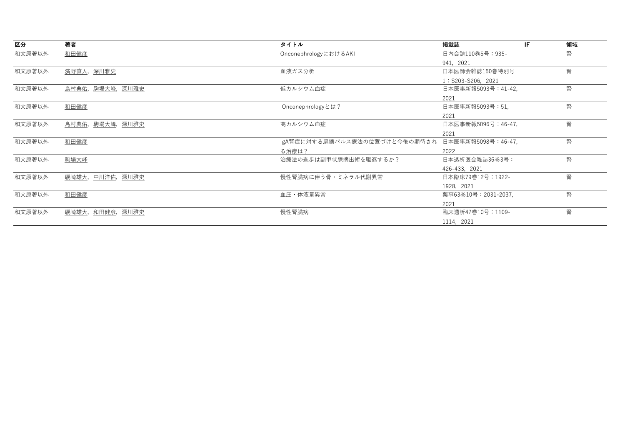| 区分     | 著者                    | タイトル                                             | 掲載誌                 | IF | 領域 |
|--------|-----------------------|--------------------------------------------------|---------------------|----|----|
| 和文原著以外 | 和田健彦                  | OnconephrologyにおけるAKI                            | 日内会誌110巻5号:935-     |    | 腎  |
|        |                       |                                                  | 941, 2021           |    |    |
| 和文原著以外 | 濱野直人,深川雅史             | 血液ガス分析                                           | 日本医師会雑誌150巻特別号      |    | 腎  |
|        |                       |                                                  | 1: S203-S206, 2021  |    |    |
| 和文原著以外 | 島村典佑, 駒場大峰, 深川雅史      | 低カルシウム血症                                         | 日本医事新報5093号: 41-42, |    | 腎  |
|        |                       |                                                  | 2021                |    |    |
| 和文原著以外 | 和田健彦                  | Onconephrologyとは?                                | 日本医事新報5093号: 51,    |    | 腎  |
|        |                       |                                                  | 2021                |    |    |
| 和文原著以外 | <u>島村典佑,駒場大峰,深川雅史</u> | 高カルシウム血症                                         | 日本医事新報5096号: 46-47, |    | 腎  |
|        |                       |                                                  | 2021                |    |    |
| 和文原著以外 | 和田健彦                  | IgA腎症に対する扁摘パルス療法の位置づけと今後の期待され 日本医事新報5098号:46-47, |                     |    | 腎  |
|        |                       | る治療は?                                            | 2022                |    |    |
| 和文原著以外 | 駒場大峰                  | 治療法の進歩は副甲状腺摘出術を駆逐するか?                            | 日本透析医会雑誌36巻3号:      |    | 腎  |
|        |                       |                                                  | 426-433, 2021       |    |    |
| 和文原著以外 | 磯崎雄大, 中川洋佑, 深川雅史      | 慢性腎臓病に伴う骨・ミネラル代謝異常                               | 日本臨床79巻12号:1922-    |    | 腎  |
|        |                       |                                                  | 1928, 2021          |    |    |
| 和文原著以外 | 和田健彦                  | 血圧・体液量異常                                         | 薬事63巻10号:2031-2037, |    | 腎  |
|        |                       |                                                  | 2021                |    |    |
| 和文原著以外 | <u>磯崎雄大,和田健彦,深川雅史</u> | 慢性腎臓病                                            | 臨床透析47巻10号:1109-    |    | 腎  |
|        |                       |                                                  | 1114, 2021          |    |    |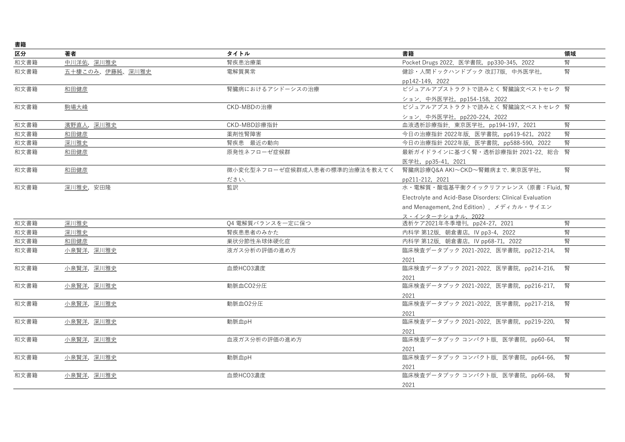| 書籍   |                 |                               |                                                          |    |
|------|-----------------|-------------------------------|----------------------------------------------------------|----|
| 区分   | 著者              | タイトル                          | 書籍                                                       | 領域 |
| 和文書籍 | 中川洋佑,深川雅史       | 腎疾患治療薬                        | Pocket Drugs 2022. 医学書院, pp330-345, 2022                 | 腎  |
| 和文書籍 | 五十棲このみ、伊藤純、深川雅史 | 電解質異常                         | 健診・人間ドックハンドブック改訂7版. 中外医学社,                               | 腎  |
|      |                 |                               | pp142-149, 2022                                          |    |
| 和文書籍 | 和田健彦            | 腎臓病におけるアシドーシスの治療              | ビジュアルアブストラクトで読みとく 腎臓論文ベストセレク 腎                           |    |
|      |                 |                               | ション. 中外医学社, pp154-158, 2022                              |    |
| 和文書籍 | 駒場大峰            | CKD-MBDの治療                    | ビジュアルアブストラクトで読みとく 腎臓論文ベストセレク 腎                           |    |
|      |                 |                               | ション. 中外医学社, pp220-224, 2022                              |    |
| 和文書籍 | 濱野直人,深川雅史       | CKD-MBD診療指針                   | 血液透析診療指針. 東京医学社, pp194-197, 2021                         | 腎  |
| 和文書籍 | 和田健彦            | 薬剤性腎障害                        | 今日の治療指針 2022年版. 医学書院, pp619-621, 2022                    | 腎  |
| 和文書籍 | 深川雅史            | 腎疾患 最近の動向                     | 今日の治療指針 2022年版. 医学書院, pp588-590, 2022                    | 腎  |
| 和文書籍 | 和田健彦            | 原発性ネフローゼ症候群                   | 最新ガイドラインに基づく腎・透析診療指針 2021-22.総合 腎                        |    |
|      |                 |                               | 医学社, pp35-41, 2021                                       |    |
| 和文書籍 | 和田健彦            | 微小変化型ネフローゼ症候群成人患者の標準的治療法を教えてく | 腎臓病診療Q&A AKI~CKD~腎難病まで. 東京医学社,                           | 暋  |
|      |                 | ださい.                          | pp211-212, 2021                                          |    |
| 和文書籍 | 深川雅史,安田隆        | 監訳                            | 水·電解質·酸塩基平衡クイックリファレンス (原書:Fluid, 腎                       |    |
|      |                 |                               | Electrolyte and Acid-Base Disorders: Clinical Evaluation |    |
|      |                 |                               | and Menagement, 2nd Edition). メディカル・サイエン                 |    |
|      |                 |                               | ス・インターナショナル、2022                                         |    |
| 和文書籍 | 深川雅史            | 04 電解質バランスを一定に保つ              | 透析ケア2021年冬季増刊,pp24-27,2021                               | 腎  |
| 和文書籍 | 深川雅史            | 腎疾患患者のみかた                     | 内科学 第12版. 朝倉書店, IV pp3-4, 2022                           | 腎  |
| 和文書籍 | 和田健彦            | 巣状分節性糸球体硬化症                   | 内科学 第12版. 朝倉書店, IV pp68-71, 2022                         | 腎  |
| 和文書籍 | 小泉賢洋,深川雅史       | 液ガス分析の評価の進め方                  | 臨床検査データブック 2021-2022. 医学書院, pp212-214,                   | 腎  |
|      |                 |                               | 2021                                                     |    |
| 和文書籍 | 小泉賢洋,深川雅史       | 血漿HCO3濃度                      | 臨床検査データブック 2021-2022. 医学書院, pp214-216,                   | 腎  |
|      |                 |                               | 2021                                                     |    |
| 和文書籍 | 小泉賢洋, 深川雅史      | 動脈血CO2分圧                      | 臨床検査データブック 2021-2022. 医学書院, pp216-217,                   | 腎  |
|      |                 |                               | 2021                                                     |    |
| 和文書籍 | 小泉賢洋,深川雅史       | 動脈血02分圧                       | 臨床検査データブック 2021-2022. 医学書院, pp217-218,                   | 腎  |
|      |                 |                               | 2021                                                     |    |
| 和文書籍 | 小泉賢洋, 深川雅史      | 動脈血pH                         | 臨床検査データブック 2021-2022. 医学書院, pp219-220,                   | 腎  |
|      |                 |                               | 2021                                                     |    |
| 和文書籍 | 小泉賢洋, 深川雅史      | 血液ガス分析の評価の進め方                 | 臨床検査データブック コンパクト版. 医学書院, pp60-64,                        | 腎  |
|      |                 |                               | 2021                                                     |    |
| 和文書籍 | 小泉賢洋,深川雅史       | 動脈血pH                         | 臨床検査データブック コンパクト版. 医学書院, pp64-66,                        | 腎  |
|      |                 |                               | 2021                                                     |    |
| 和文書籍 | 小泉賢洋, 深川雅史      | 血漿HCO3濃度                      | 臨床検査データブック コンパクト版. 医学書院, pp66-68,                        | 腎  |
|      |                 |                               | 2021                                                     |    |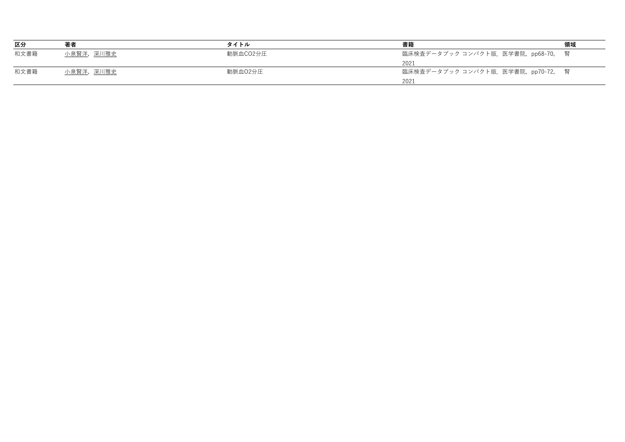| 区分   | 著者        | タイトル     | 書籍                                | 領域 |
|------|-----------|----------|-----------------------------------|----|
| 和文書籍 | 小泉賢洋,深川雅史 | 動脈血CO2分圧 | 臨床検査データブック コンパクト版.医学書院,pp68-70, 腎 |    |
|      |           |          | 2021                              |    |
| 和文書籍 | 小泉賢洋,深川雅史 | 動脈血02分圧  | 臨床検査データブック コンパクト版.医学書院,pp70-72, 腎 |    |
|      |           |          | 2021                              |    |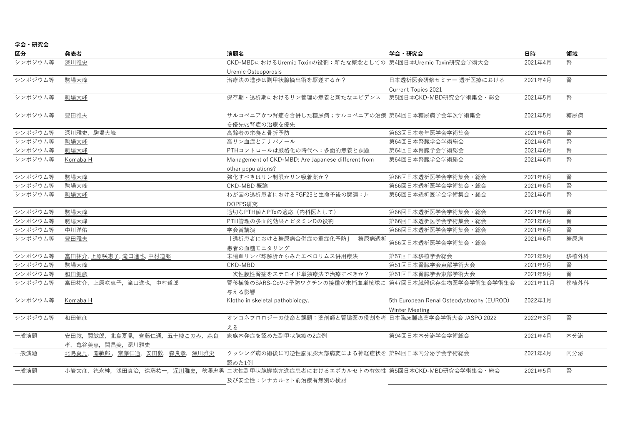| 学会・ |  | 研究会 |
|-----|--|-----|
|-----|--|-----|

| 区分      | 発表者                              | 演題名                                                                                           | 学会・研究会                                    | 日時       | 領域   |
|---------|----------------------------------|-----------------------------------------------------------------------------------------------|-------------------------------------------|----------|------|
| シンポジウム等 | 深川雅史                             | CKD-MBDにおけるUremic Toxinの役割:新たな概念としての 第4回日本Uremic Toxin研究会学術大会                                 |                                           | 2021年4月  | 腎    |
|         |                                  | Uremic Osteoporosis                                                                           |                                           |          |      |
| シンポジウム等 | 駒場大峰                             | 治療法の進歩は副甲状腺摘出術を駆遂するか?                                                                         | 日本透析医会研修セミナー 透析医療における                     | 2021年4月  | 腎    |
|         |                                  |                                                                                               | Current Topics 2021                       |          |      |
| シンポジウム等 | 駒場大峰                             | 保存期・透析期におけるリン管理の意義と新たなエビデンス                                                                   | 第5回日本CKD-MBD研究会学術集会·総会                    | 2021年5月  | 腎    |
| シンポジウム等 | 豊田雅夫                             | サルコペニアかつ腎症を合併した糖尿病;サルコペニアの治療 第64回日本糖尿病学会年次学術集会                                                |                                           | 2021年5月  | 糖尿病  |
|         |                                  | を優先vs腎症の治療を優先                                                                                 |                                           |          |      |
| シンポジウム等 | 深川雅史, 駒場大峰                       | 高齢者の栄養と骨折予防                                                                                   | 第63回日本老年医学会学術集会                           | 2021年6月  | 腎    |
| シンポジウム等 | 駒場大峰                             | 高リン血症とテナパノール                                                                                  | 第64回日本腎臓学会学術総会                            | 2021年6月  | 腎    |
| シンポジウム等 | 駒場大峰                             | PTHコントロールは厳格化の時代へ:多面的意義と課題                                                                    | 第64回日本腎臓学会学術総会                            | 2021年6月  | 腎    |
| シンポジウム等 | Komaba H                         | Management of CKD-MBD: Are Japanese different from                                            | 第64回日本腎臓学会学術総会                            | 2021年6月  | 腎    |
|         |                                  | other populations?                                                                            |                                           |          |      |
| シンポジウム等 | 駒場大峰                             | 強化すべきはリン制限かリン吸着薬か?                                                                            | 第66回日本透析医学会学術集会 · 総会                      | 2021年6月  | 腎    |
| シンポジウム等 | 駒場大峰                             | CKD-MBD 概論                                                                                    | 第66回日本透析医学会学術集会 · 総会                      | 2021年6月  | 腎    |
| シンポジウム等 | 駒場大峰                             | わが国の透析患者におけるFGF23と生命予後の関連: J-                                                                 | 第66回日本透析医学会学術集会 · 総会                      | 2021年6月  | 腎    |
|         |                                  | DOPPS研究                                                                                       |                                           |          |      |
| シンポジウム等 | 駒場大峰                             | 適切なPTH値とPTxの適応 (内科医として)                                                                       | 第66回日本透析医学会学術集会 · 総会                      | 2021年6月  | 腎    |
| シンポジウム等 | 駒場大峰                             | PTH管理の多面的効果とビタミンDの役割                                                                          | 第66回日本透析医学会学術集会·総会                        | 2021年6月  | 腎    |
| シンポジウム等 | 中川洋佑                             | 学会賞講演                                                                                         | 第66回日本透析医学会学術集会 · 総会                      | 2021年6月  | 腎    |
| シンポジウム等 | 豊田雅夫                             | 「透析患者における糖尿病合併症の重症化予防」<br>糖尿病透析                                                               | 第66回日本透析医学会学術集会 · 総会                      | 2021年6月  | 糖尿病  |
|         |                                  | 患者の血糖モニタリング                                                                                   |                                           |          |      |
| シンポジウム等 | 富田祐介,上原咲恵子,滝口進也,中村道郎             | 末梢血リンパ球解析からみたエベロリムス併用療法                                                                       | 第57回日本移植学会総会                              | 2021年9月  | 移植外科 |
| シンポジウム等 | 駒場大峰                             | CKD-MBD                                                                                       | 第51回日本腎臓学会東部学術大会                          | 2021年9月  | 腎    |
| シンポジウム等 | 和田健彦                             | 一次性膜性腎症をステロイド単独療法で治療すべきか?                                                                     | 第51回日本腎臓学会東部学術大会                          | 2021年9月  | 腎    |
| シンポジウム等 | 富田祐介, 上原咲恵子, 滝口進也, 中村道郎          | 腎移植後のSARS-CoV-2予防ワクチンの接種が末梢血単核球に 第47回日本臓器保存生物医学会学術集会学術集会                                      |                                           | 2021年11月 | 移植外科 |
|         |                                  | 与える影響                                                                                         |                                           |          |      |
| シンポジウム等 | Komaba H                         | Klotho in skeletal pathobiology.                                                              | 5th European Renal Osteodystrophy (EUROD) | 2022年1月  |      |
|         |                                  |                                                                                               | <b>Winter Meeting</b>                     |          |      |
| シンポジウム等 | 和田健彦                             | オンコネフロロジーの使命と課題:薬剤師と腎臓医の役割を考 日本臨床腫瘍薬学会学術大会 JASPO 2022                                         |                                           | 2022年3月  | 腎    |
|         |                                  | える                                                                                            |                                           |          |      |
| 一般演題    | 安田敦, 関敏郎, 北島夏見, 齊藤仁通, 五十棲このみ, 森良 | 家族内発症を認めた副甲状腺癌の2症例                                                                            | 第94回日本内分泌学会学術総会                           | 2021年4月  | 内分泌  |
|         | 孝, 亀谷美恵, 関昌美, 深川雅史               |                                                                                               |                                           |          |      |
| 一般演題    | 北島夏見, 關敏郎, 齋藤仁通, 安田敦, 森良孝, 深川雅史  | クッシング病の術後に可逆性脳梁膨大部病変による神経症状を 第94回日本内分泌学会学術総会                                                  |                                           | 2021年4月  | 内分泌  |
|         |                                  | 認めた1例                                                                                         |                                           |          |      |
| 一般演題    |                                  | 小岩文彦, 徳永紳, 浅田真治, 遠藤祐一, <u>深川雅史</u> , 秋澤忠男 二次性副甲状腺機能亢進症患者におけるエボカルセトの有効性 第5回日本CKD-MBD研究会学術集会·総会 |                                           | 2021年5月  | 腎    |
|         |                                  | 及び安全性:シナカルセト前治療有無別の検討                                                                         |                                           |          |      |
|         |                                  |                                                                                               |                                           |          |      |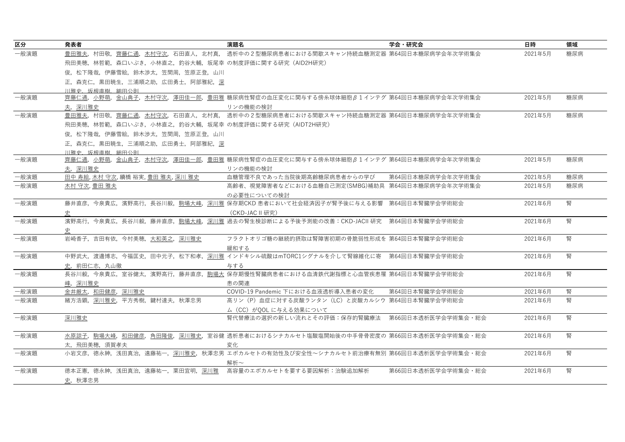| 区分   | 発表者                                                | 演題名                                                                                       | 学会・研究会             | 日時      | 領域  |
|------|----------------------------------------------------|-------------------------------------------------------------------------------------------|--------------------|---------|-----|
| 一般演題 |                                                    | 豊田雅夫.村田敬.齊藤仁通.木村守次.石田直人.北村真. 透析中の2型糖尿病患者における間歇スキャン持続血糖測定器 第64回日本糖尿病学会年次学術集会               |                    | 2021年5月 | 糖尿病 |
|      | 飛田美穂,林哲範,森口いぶき,小林直之,釣谷大輔,坂尾幸 の制度評価に関する研究(AID2H研究)  |                                                                                           |                    |         |     |
|      | 俊,松下隆哉,伊藤雪絵,鈴木渉太,笠間周,笠原正登,山川                       |                                                                                           |                    |         |     |
|      | 正, 森克仁, 黒田暁生, 三浦順之助, 広田勇士, 阿部雅紀, 深                 |                                                                                           |                    |         |     |
|      | 川雅史 坂根直樹 細田公則                                      |                                                                                           |                    |         |     |
| 一般演題 |                                                    | <u>齊藤仁通, 小野萌, 金山典子, 木村守次, 澤田佳一郎, 豊田雅</u> 糖尿病性腎症の血圧変化に関与する傍糸球体細胞β1インテグ 第64回日本糖尿病学会年次学術集会   |                    | 2021年5月 | 糖尿病 |
|      | 夫,深川雅史                                             | リンの機能の検討                                                                                  |                    |         |     |
| 一般演題 |                                                    | 豊田雅夫,村田敬,齊藤仁通,木村守次,石田直人,北村真, 透析中の2型糖尿病患者における間歇スキャン持続血糖測定器 第64回日本糖尿病学会年次学術集会               |                    | 2021年5月 | 糖尿病 |
|      | 飛田美穂,林哲範,森口いぶき,小林直之,釣谷大輔,坂尾幸 の制度評価に関する研究(AIDT2H研究) |                                                                                           |                    |         |     |
|      | 俊,松下隆哉,伊藤雪絵,鈴木渉太,笠間周,笠原正登,山川                       |                                                                                           |                    |         |     |
|      | 正,森克仁,黒田暁生,三浦順之助,広田勇士,阿部雅紀,深                       |                                                                                           |                    |         |     |
|      | 川雅史、坂根直樹、細田公則                                      |                                                                                           |                    |         |     |
| 一般演題 |                                                    | <u>齊藤仁通,小野萌,金山典子,木村守次,澤田佳一郎,豊田雅</u> 糖尿病性腎症の血圧変化に関与する傍糸球体細胞β1インテグ 第64回日本糖尿病学会年次学術集会        |                    | 2021年5月 | 糖尿病 |
|      | 夫,深川雅史                                             | リンの機能の検討                                                                                  |                    |         |     |
| 一般演題 | 田中 寿絵, 木村 守次, 續橋 裕実, 豊田 雅夫, 深川 雅史                  | 血糖管理不良であった当院後期高齢糖尿病患者からの学び                                                                | 第64回日本糖尿病学会年次学術集会  | 2021年5月 | 糖尿病 |
| 一般演題 | 木村 守次,豊田 雅夫                                        | 高齢者、視覚障害者などにおける血糖自己測定(SMBG)補助具 第64回日本糖尿病学会年次学術集会                                          |                    | 2021年5月 | 糖尿病 |
|      |                                                    | の必要性についての検討                                                                               |                    |         |     |
| 一般演題 | 藤井直彦,今泉貴広,濱野高行,長谷川毅,駒場大峰,                          | 深川雅 保存期CKD 患者において社会経済因子が腎予後に与える影響 第64回日本腎臓学会学術総会                                          |                    | 2021年6月 | 腎   |
|      |                                                    | (CKD-JAC II 研究)                                                                           |                    |         |     |
| 一般演題 | 濱野高行,今泉貴広,長谷川毅,藤井直彦,駒場大峰,                          | 深川雅 過去の腎生検診断による予後予測能の改善:CKD-JACI  研究   第64回日本腎臓学会学術総会                                     |                    | 2021年6月 | 腎   |
|      |                                                    |                                                                                           |                    |         |     |
| 一般演題 | 岩崎香子, 吉田有依, 今村美穂, 大和英之, 深川雅史                       | フラクトオリゴ糖の継続的摂取は腎障害初期の骨脆弱性形成を 第64回日本腎臓学会学術総会                                               |                    | 2021年6月 | 腎   |
|      |                                                    | 緩和する                                                                                      |                    |         |     |
| 一般演題 |                                                    | 中野武大, 渡邊博志, 今福匡史, 田中元子, 松下和孝, 深川雅 インドキシル硫酸はmTORC1シグナルを介して腎線維化に寄 第64回日本腎臓学会学術総会            |                    | 2021年6月 | 腎   |
|      | 史, 前田仁志, 丸山徹                                       | 与する                                                                                       |                    |         |     |
| 一般演題 |                                                    | 長谷川毅,今泉貴広,室谷健太,濱野高行,藤井直彦,駒場大 保存期慢性腎臓病患者における血清鉄代謝指標と心血管疾患罹 第64回日本腎臓学会学術総会                  |                    | 2021年6月 | 腎   |
|      | 峰,深川雅史                                             | 患の関連                                                                                      |                    |         |     |
| 一般演題 | 金井厳太,和田健彦,深川雅史                                     | COVID-19 Pandemic 下における血液透析導入患者の変化                                                        | 第64回日本腎臓学会学術総会     | 2021年6月 | 腎   |
| 一般演題 | 緒方浩顕,深川雅史,平方秀樹,鍵村達夫,秋澤忠男                           | 高リン(P)血症に対する炭酸ランタン(LC)と炭酸カルシウ 第64回日本腎臓学会学術総会                                              |                    | 2021年6月 | 腎   |
|      |                                                    | ム (CC) がOOL に与える効果について                                                                    |                    |         |     |
| 一般演題 | 深川雅史                                               | 腎代替療法の選択の新しい流れとその評価:保存的腎臓療法 第66回日本透析医学会学術集会·総会                                            |                    | 2021年6月 | 腎   |
|      |                                                    |                                                                                           |                    |         |     |
| 一般演題 |                                                    | 水原諒子,駒場大峰,和田健彦,角田隆俊,深川雅史,室谷健 透析患者におけるシナカルセト塩酸塩開始後の中手骨骨密度の 第66回日本透析医学会学術集会·総会              |                    | 2021年6月 | 腎   |
|      | 太,飛田美穂,須賀孝夫                                        | 変化                                                                                        |                    |         |     |
| 一般演題 |                                                    | 小岩文彦, 徳永紳, 浅田真治, 遠藤祐一, <u>深川雅史</u> , 秋澤忠男 エボカルセトの有効性及び安全性~シナカルセト前治療有無別 第66回日本透析医学会学術集会·総会 |                    | 2021年6月 | 腎   |
|      |                                                    | 解析~                                                                                       |                    |         |     |
| 一般演題 | 徳本正憲,徳永紳,浅田真治,遠藤祐一,栗田宜明,深川雅                        | 高容量のエボカルセトを要する要因解析:治験追加解析                                                                 | 第66回日本透析医学会学術集会・総会 | 2021年6月 | 腎   |
|      | 史, 秋澤忠男                                            |                                                                                           |                    |         |     |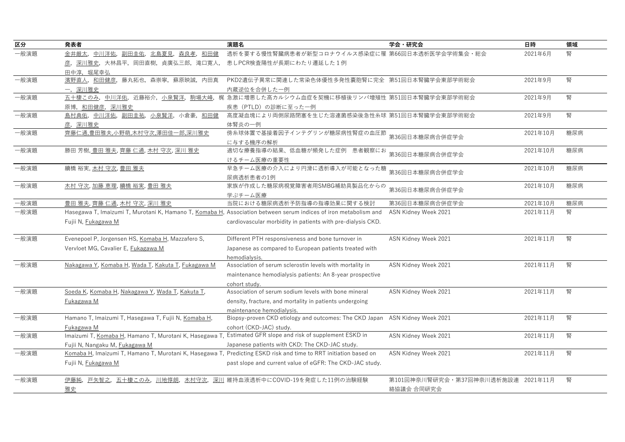| 中川洋佑,<br>透析を要する慢性腎臓病患者が新型コロナウイルス感染症に罹 第66回日本透析医学会学術集会・総会<br>2021年6月<br>腎<br>金井厳太,<br>副田圭佑,北島夏見,<br>森良孝,<br>和田健<br>患しPCR検査陽性が長期にわたり遷延した1例<br>彦,深川雅史,大林昌平,岡田直樹,貞廣弘三郎,滝口寛人,<br>田中淳、堀尾幸弘<br>腎<br>濱野直人, 和田健彦, 藤丸拓也, 森崇寧, 蘇原映誠, 内田真<br>PKD2遺伝子異常に関連した常染色体優性多発性嚢胞腎に完全 第51回日本腎臓学会東部学術総会<br>2021年9月<br>一,深川雅史<br>内蔵逆位を合併した一例<br>梶 急激に増悪した高カルシウム血症を契機に移植後リンパ増殖性 第51回日本腎臓学会東部学術総会<br>腎<br>五十棲このみ、中川洋佑、近藤裕介、小泉賢洋、駒場大峰、<br>2021年9月<br>一般演題<br>疾患 (PTLD) の診断に至った一例<br>原博,和田健彦,深川雅史<br>高度凝血塊により両側尿路閉塞を生じた溶連菌感染後急性糸球 第51回日本腎臓学会東部学術総会<br>腎<br>島村典佑, 中川洋佑, 副田圭祐, 小泉賢洋, 小倉豪, 和田健<br>2021年9月<br>彦,深川雅史<br>体腎炎の一例<br>齊藤仁通,豊田雅夫,小野萌,木村守次,澤田佳一郎,深川雅史<br>傍糸球体置で基接着因子インテグリンが糖尿病性腎症の血圧節<br>2021年10月<br>糖尿病<br>第36回日本糖尿病合併症学会<br>に与する機序の解析<br>勝田芳樹, 豊田雅夫, 齊藤 仁通, 木村 守次, 深川 雅史<br>適切な療養指導の結果、低血糖が頻発した症例 患者観察にお<br>糖尿病<br>2021年10月<br>第36回日本糖尿病合併症学会<br>けるチーム医療の重要性<br>早急チーム医療の介入により円滑に透析導入が可能となった糖<br>-般演題<br>續橋 裕実, 木村 守次, 豊田 雅夫<br>2021年10月<br>糖尿病<br>第36回日本糖尿病合併症学会<br>尿病透析患者の1例<br>木村 守次, 加藤 恵理, 續橋 裕実, 豊田 雅夫<br>家族が作成した糖尿病視覚障害者用SMBG補助具製品化からの<br>2021年10月<br>糖尿病<br>第36回日本糖尿病合併症学会<br>学ぶチーム医療<br>第36回日本糖尿病合併症学会<br>当院における糖尿病透析予防指導の指導効果に関する検討<br>2021年10月<br>糖尿病<br>-般演題<br>豊田雅夫,齊藤仁通,木村守次,深川雅史<br>Hasegawa T, Imaizumi T, Murotani K, Hamano T, Komaba H, Association between serum indices of iron metabolism and<br>腎<br>ASN Kidney Week 2021<br>2021年11月<br>Fujii N, Fukagawa M<br>cardiovascular morbidity in patients with pre-dialysis CKD.<br>腎<br>Evenepoel P, Jorgensen HS, Komaba H, Mazzafero S,<br>Different PTH responsiveness and bone turnover in<br>ASN Kidney Week 2021<br>2021年11月<br>Vervloet MG, Cavalier E, Fukagawa M<br>Japanese as compared to European patients treated with<br>hemodialysis.<br>Nakagawa Y, Komaba H, Wada T, Kakuta T, Fukagawa M<br>2021年11月<br>腎<br>Association of serum sclerostin levels with mortality in<br>ASN Kidney Week 2021<br>maintenance hemodialysis patients: An 8-year prospective<br>cohort study.<br>腎<br>Soeda K, Komaba H, Nakagawa Y, Wada T, Kakuta T,<br>Association of serum sodium levels with bone mineral<br>ASN Kidney Week 2021<br>2021年11月<br>Fukagawa M<br>density, fracture, and mortality in patients undergoing<br>maintenance hemodialysis.<br>腎<br>Hamano T, Imaizumi T, Hasegawa T, Fujii N, Komaba H,<br>Biopsy-proven CKD etiology and outcomes: The CKD Japan ASN Kidney Week 2021<br>2021年11月<br>cohort (CKD-JAC) study.<br>Fukagawa M<br>Estimated GFR slope and risk of supplement ESKD in<br>-般演題<br>Imaizumi T, Komaba H, Hamano T, Murotani K, Hasegawa T,<br>腎<br>ASN Kidney Week 2021<br>2021年11月<br>Japanese patients with CKD: The CKD-JAC study.<br>Fujii N, Nangaku M, Fukagawa M<br>Komaba H, Imaizumi T, Hamano T, Murotani K, Hasegawa T, Predicting ESKD risk and time to RRT initiation based on<br>ASN Kidney Week 2021<br>2021年11月<br>腎<br>Fujii N, Fukagawa M<br>past slope and current value of eGFR: The CKD-JAC study.<br>伊藤純, 戸矢智之, 五十棲このみ, 川地惇朗, 木村守次, 深川 維持血液透析中にCOVID-19を発症した11例の治験経験<br>第101回神奈川腎研究会·第37回神奈川透析施設連 2021年11月<br>腎<br>絡協議会 合同研究会<br>雅史 | 区分   | 発表者 | 演題名 | 学会・研究会 | 日時 | 領域 |
|-----------------------------------------------------------------------------------------------------------------------------------------------------------------------------------------------------------------------------------------------------------------------------------------------------------------------------------------------------------------------------------------------------------------------------------------------------------------------------------------------------------------------------------------------------------------------------------------------------------------------------------------------------------------------------------------------------------------------------------------------------------------------------------------------------------------------------------------------------------------------------------------------------------------------------------------------------------------------------------------------------------------------------------------------------------------------------------------------------------------------------------------------------------------------------------------------------------------------------------------------------------------------------------------------------------------------------------------------------------------------------------------------------------------------------------------------------------------------------------------------------------------------------------------------------------------------------------------------------------------------------------------------------------------------------------------------------------------------------------------------------------------------------------------------------------------------------------------------------------------------------------------------------------------------------------------------------------------------------------------------------------------------------------------------------------------------------------------------------------------------------------------------------------------------------------------------------------------------------------------------------------------------------------------------------------------------------------------------------------------------------------------------------------------------------------------------------------------------------------------------------------------------------------------------------------------------------------------------------------------------------------------------------------------------------------------------------------------------------------------------------------------------------------------------------------------------------------------------------------------------------------------------------------------------------------------------------------------------------------------------------------------------------------------------|------|-----|-----|--------|----|----|
|                                                                                                                                                                                                                                                                                                                                                                                                                                                                                                                                                                                                                                                                                                                                                                                                                                                                                                                                                                                                                                                                                                                                                                                                                                                                                                                                                                                                                                                                                                                                                                                                                                                                                                                                                                                                                                                                                                                                                                                                                                                                                                                                                                                                                                                                                                                                                                                                                                                                                                                                                                                                                                                                                                                                                                                                                                                                                                                                                                                                                                               | 一般演題 |     |     |        |    |    |
|                                                                                                                                                                                                                                                                                                                                                                                                                                                                                                                                                                                                                                                                                                                                                                                                                                                                                                                                                                                                                                                                                                                                                                                                                                                                                                                                                                                                                                                                                                                                                                                                                                                                                                                                                                                                                                                                                                                                                                                                                                                                                                                                                                                                                                                                                                                                                                                                                                                                                                                                                                                                                                                                                                                                                                                                                                                                                                                                                                                                                                               |      |     |     |        |    |    |
|                                                                                                                                                                                                                                                                                                                                                                                                                                                                                                                                                                                                                                                                                                                                                                                                                                                                                                                                                                                                                                                                                                                                                                                                                                                                                                                                                                                                                                                                                                                                                                                                                                                                                                                                                                                                                                                                                                                                                                                                                                                                                                                                                                                                                                                                                                                                                                                                                                                                                                                                                                                                                                                                                                                                                                                                                                                                                                                                                                                                                                               |      |     |     |        |    |    |
|                                                                                                                                                                                                                                                                                                                                                                                                                                                                                                                                                                                                                                                                                                                                                                                                                                                                                                                                                                                                                                                                                                                                                                                                                                                                                                                                                                                                                                                                                                                                                                                                                                                                                                                                                                                                                                                                                                                                                                                                                                                                                                                                                                                                                                                                                                                                                                                                                                                                                                                                                                                                                                                                                                                                                                                                                                                                                                                                                                                                                                               | 一般演題 |     |     |        |    |    |
|                                                                                                                                                                                                                                                                                                                                                                                                                                                                                                                                                                                                                                                                                                                                                                                                                                                                                                                                                                                                                                                                                                                                                                                                                                                                                                                                                                                                                                                                                                                                                                                                                                                                                                                                                                                                                                                                                                                                                                                                                                                                                                                                                                                                                                                                                                                                                                                                                                                                                                                                                                                                                                                                                                                                                                                                                                                                                                                                                                                                                                               |      |     |     |        |    |    |
|                                                                                                                                                                                                                                                                                                                                                                                                                                                                                                                                                                                                                                                                                                                                                                                                                                                                                                                                                                                                                                                                                                                                                                                                                                                                                                                                                                                                                                                                                                                                                                                                                                                                                                                                                                                                                                                                                                                                                                                                                                                                                                                                                                                                                                                                                                                                                                                                                                                                                                                                                                                                                                                                                                                                                                                                                                                                                                                                                                                                                                               |      |     |     |        |    |    |
|                                                                                                                                                                                                                                                                                                                                                                                                                                                                                                                                                                                                                                                                                                                                                                                                                                                                                                                                                                                                                                                                                                                                                                                                                                                                                                                                                                                                                                                                                                                                                                                                                                                                                                                                                                                                                                                                                                                                                                                                                                                                                                                                                                                                                                                                                                                                                                                                                                                                                                                                                                                                                                                                                                                                                                                                                                                                                                                                                                                                                                               |      |     |     |        |    |    |
|                                                                                                                                                                                                                                                                                                                                                                                                                                                                                                                                                                                                                                                                                                                                                                                                                                                                                                                                                                                                                                                                                                                                                                                                                                                                                                                                                                                                                                                                                                                                                                                                                                                                                                                                                                                                                                                                                                                                                                                                                                                                                                                                                                                                                                                                                                                                                                                                                                                                                                                                                                                                                                                                                                                                                                                                                                                                                                                                                                                                                                               | 一般演題 |     |     |        |    |    |
|                                                                                                                                                                                                                                                                                                                                                                                                                                                                                                                                                                                                                                                                                                                                                                                                                                                                                                                                                                                                                                                                                                                                                                                                                                                                                                                                                                                                                                                                                                                                                                                                                                                                                                                                                                                                                                                                                                                                                                                                                                                                                                                                                                                                                                                                                                                                                                                                                                                                                                                                                                                                                                                                                                                                                                                                                                                                                                                                                                                                                                               |      |     |     |        |    |    |
|                                                                                                                                                                                                                                                                                                                                                                                                                                                                                                                                                                                                                                                                                                                                                                                                                                                                                                                                                                                                                                                                                                                                                                                                                                                                                                                                                                                                                                                                                                                                                                                                                                                                                                                                                                                                                                                                                                                                                                                                                                                                                                                                                                                                                                                                                                                                                                                                                                                                                                                                                                                                                                                                                                                                                                                                                                                                                                                                                                                                                                               | 一般演題 |     |     |        |    |    |
|                                                                                                                                                                                                                                                                                                                                                                                                                                                                                                                                                                                                                                                                                                                                                                                                                                                                                                                                                                                                                                                                                                                                                                                                                                                                                                                                                                                                                                                                                                                                                                                                                                                                                                                                                                                                                                                                                                                                                                                                                                                                                                                                                                                                                                                                                                                                                                                                                                                                                                                                                                                                                                                                                                                                                                                                                                                                                                                                                                                                                                               |      |     |     |        |    |    |
|                                                                                                                                                                                                                                                                                                                                                                                                                                                                                                                                                                                                                                                                                                                                                                                                                                                                                                                                                                                                                                                                                                                                                                                                                                                                                                                                                                                                                                                                                                                                                                                                                                                                                                                                                                                                                                                                                                                                                                                                                                                                                                                                                                                                                                                                                                                                                                                                                                                                                                                                                                                                                                                                                                                                                                                                                                                                                                                                                                                                                                               | 一般演題 |     |     |        |    |    |
|                                                                                                                                                                                                                                                                                                                                                                                                                                                                                                                                                                                                                                                                                                                                                                                                                                                                                                                                                                                                                                                                                                                                                                                                                                                                                                                                                                                                                                                                                                                                                                                                                                                                                                                                                                                                                                                                                                                                                                                                                                                                                                                                                                                                                                                                                                                                                                                                                                                                                                                                                                                                                                                                                                                                                                                                                                                                                                                                                                                                                                               |      |     |     |        |    |    |
|                                                                                                                                                                                                                                                                                                                                                                                                                                                                                                                                                                                                                                                                                                                                                                                                                                                                                                                                                                                                                                                                                                                                                                                                                                                                                                                                                                                                                                                                                                                                                                                                                                                                                                                                                                                                                                                                                                                                                                                                                                                                                                                                                                                                                                                                                                                                                                                                                                                                                                                                                                                                                                                                                                                                                                                                                                                                                                                                                                                                                                               |      |     |     |        |    |    |
|                                                                                                                                                                                                                                                                                                                                                                                                                                                                                                                                                                                                                                                                                                                                                                                                                                                                                                                                                                                                                                                                                                                                                                                                                                                                                                                                                                                                                                                                                                                                                                                                                                                                                                                                                                                                                                                                                                                                                                                                                                                                                                                                                                                                                                                                                                                                                                                                                                                                                                                                                                                                                                                                                                                                                                                                                                                                                                                                                                                                                                               |      |     |     |        |    |    |
|                                                                                                                                                                                                                                                                                                                                                                                                                                                                                                                                                                                                                                                                                                                                                                                                                                                                                                                                                                                                                                                                                                                                                                                                                                                                                                                                                                                                                                                                                                                                                                                                                                                                                                                                                                                                                                                                                                                                                                                                                                                                                                                                                                                                                                                                                                                                                                                                                                                                                                                                                                                                                                                                                                                                                                                                                                                                                                                                                                                                                                               | 一般演題 |     |     |        |    |    |
|                                                                                                                                                                                                                                                                                                                                                                                                                                                                                                                                                                                                                                                                                                                                                                                                                                                                                                                                                                                                                                                                                                                                                                                                                                                                                                                                                                                                                                                                                                                                                                                                                                                                                                                                                                                                                                                                                                                                                                                                                                                                                                                                                                                                                                                                                                                                                                                                                                                                                                                                                                                                                                                                                                                                                                                                                                                                                                                                                                                                                                               |      |     |     |        |    |    |
|                                                                                                                                                                                                                                                                                                                                                                                                                                                                                                                                                                                                                                                                                                                                                                                                                                                                                                                                                                                                                                                                                                                                                                                                                                                                                                                                                                                                                                                                                                                                                                                                                                                                                                                                                                                                                                                                                                                                                                                                                                                                                                                                                                                                                                                                                                                                                                                                                                                                                                                                                                                                                                                                                                                                                                                                                                                                                                                                                                                                                                               |      |     |     |        |    |    |
|                                                                                                                                                                                                                                                                                                                                                                                                                                                                                                                                                                                                                                                                                                                                                                                                                                                                                                                                                                                                                                                                                                                                                                                                                                                                                                                                                                                                                                                                                                                                                                                                                                                                                                                                                                                                                                                                                                                                                                                                                                                                                                                                                                                                                                                                                                                                                                                                                                                                                                                                                                                                                                                                                                                                                                                                                                                                                                                                                                                                                                               | 一般演題 |     |     |        |    |    |
|                                                                                                                                                                                                                                                                                                                                                                                                                                                                                                                                                                                                                                                                                                                                                                                                                                                                                                                                                                                                                                                                                                                                                                                                                                                                                                                                                                                                                                                                                                                                                                                                                                                                                                                                                                                                                                                                                                                                                                                                                                                                                                                                                                                                                                                                                                                                                                                                                                                                                                                                                                                                                                                                                                                                                                                                                                                                                                                                                                                                                                               |      |     |     |        |    |    |
|                                                                                                                                                                                                                                                                                                                                                                                                                                                                                                                                                                                                                                                                                                                                                                                                                                                                                                                                                                                                                                                                                                                                                                                                                                                                                                                                                                                                                                                                                                                                                                                                                                                                                                                                                                                                                                                                                                                                                                                                                                                                                                                                                                                                                                                                                                                                                                                                                                                                                                                                                                                                                                                                                                                                                                                                                                                                                                                                                                                                                                               |      |     |     |        |    |    |
|                                                                                                                                                                                                                                                                                                                                                                                                                                                                                                                                                                                                                                                                                                                                                                                                                                                                                                                                                                                                                                                                                                                                                                                                                                                                                                                                                                                                                                                                                                                                                                                                                                                                                                                                                                                                                                                                                                                                                                                                                                                                                                                                                                                                                                                                                                                                                                                                                                                                                                                                                                                                                                                                                                                                                                                                                                                                                                                                                                                                                                               | 一般演題 |     |     |        |    |    |
|                                                                                                                                                                                                                                                                                                                                                                                                                                                                                                                                                                                                                                                                                                                                                                                                                                                                                                                                                                                                                                                                                                                                                                                                                                                                                                                                                                                                                                                                                                                                                                                                                                                                                                                                                                                                                                                                                                                                                                                                                                                                                                                                                                                                                                                                                                                                                                                                                                                                                                                                                                                                                                                                                                                                                                                                                                                                                                                                                                                                                                               |      |     |     |        |    |    |
|                                                                                                                                                                                                                                                                                                                                                                                                                                                                                                                                                                                                                                                                                                                                                                                                                                                                                                                                                                                                                                                                                                                                                                                                                                                                                                                                                                                                                                                                                                                                                                                                                                                                                                                                                                                                                                                                                                                                                                                                                                                                                                                                                                                                                                                                                                                                                                                                                                                                                                                                                                                                                                                                                                                                                                                                                                                                                                                                                                                                                                               |      |     |     |        |    |    |
|                                                                                                                                                                                                                                                                                                                                                                                                                                                                                                                                                                                                                                                                                                                                                                                                                                                                                                                                                                                                                                                                                                                                                                                                                                                                                                                                                                                                                                                                                                                                                                                                                                                                                                                                                                                                                                                                                                                                                                                                                                                                                                                                                                                                                                                                                                                                                                                                                                                                                                                                                                                                                                                                                                                                                                                                                                                                                                                                                                                                                                               | 一般演題 |     |     |        |    |    |
|                                                                                                                                                                                                                                                                                                                                                                                                                                                                                                                                                                                                                                                                                                                                                                                                                                                                                                                                                                                                                                                                                                                                                                                                                                                                                                                                                                                                                                                                                                                                                                                                                                                                                                                                                                                                                                                                                                                                                                                                                                                                                                                                                                                                                                                                                                                                                                                                                                                                                                                                                                                                                                                                                                                                                                                                                                                                                                                                                                                                                                               |      |     |     |        |    |    |
|                                                                                                                                                                                                                                                                                                                                                                                                                                                                                                                                                                                                                                                                                                                                                                                                                                                                                                                                                                                                                                                                                                                                                                                                                                                                                                                                                                                                                                                                                                                                                                                                                                                                                                                                                                                                                                                                                                                                                                                                                                                                                                                                                                                                                                                                                                                                                                                                                                                                                                                                                                                                                                                                                                                                                                                                                                                                                                                                                                                                                                               |      |     |     |        |    |    |
|                                                                                                                                                                                                                                                                                                                                                                                                                                                                                                                                                                                                                                                                                                                                                                                                                                                                                                                                                                                                                                                                                                                                                                                                                                                                                                                                                                                                                                                                                                                                                                                                                                                                                                                                                                                                                                                                                                                                                                                                                                                                                                                                                                                                                                                                                                                                                                                                                                                                                                                                                                                                                                                                                                                                                                                                                                                                                                                                                                                                                                               | 一般演題 |     |     |        |    |    |
|                                                                                                                                                                                                                                                                                                                                                                                                                                                                                                                                                                                                                                                                                                                                                                                                                                                                                                                                                                                                                                                                                                                                                                                                                                                                                                                                                                                                                                                                                                                                                                                                                                                                                                                                                                                                                                                                                                                                                                                                                                                                                                                                                                                                                                                                                                                                                                                                                                                                                                                                                                                                                                                                                                                                                                                                                                                                                                                                                                                                                                               |      |     |     |        |    |    |
|                                                                                                                                                                                                                                                                                                                                                                                                                                                                                                                                                                                                                                                                                                                                                                                                                                                                                                                                                                                                                                                                                                                                                                                                                                                                                                                                                                                                                                                                                                                                                                                                                                                                                                                                                                                                                                                                                                                                                                                                                                                                                                                                                                                                                                                                                                                                                                                                                                                                                                                                                                                                                                                                                                                                                                                                                                                                                                                                                                                                                                               |      |     |     |        |    |    |
|                                                                                                                                                                                                                                                                                                                                                                                                                                                                                                                                                                                                                                                                                                                                                                                                                                                                                                                                                                                                                                                                                                                                                                                                                                                                                                                                                                                                                                                                                                                                                                                                                                                                                                                                                                                                                                                                                                                                                                                                                                                                                                                                                                                                                                                                                                                                                                                                                                                                                                                                                                                                                                                                                                                                                                                                                                                                                                                                                                                                                                               | 一般演題 |     |     |        |    |    |
|                                                                                                                                                                                                                                                                                                                                                                                                                                                                                                                                                                                                                                                                                                                                                                                                                                                                                                                                                                                                                                                                                                                                                                                                                                                                                                                                                                                                                                                                                                                                                                                                                                                                                                                                                                                                                                                                                                                                                                                                                                                                                                                                                                                                                                                                                                                                                                                                                                                                                                                                                                                                                                                                                                                                                                                                                                                                                                                                                                                                                                               |      |     |     |        |    |    |
|                                                                                                                                                                                                                                                                                                                                                                                                                                                                                                                                                                                                                                                                                                                                                                                                                                                                                                                                                                                                                                                                                                                                                                                                                                                                                                                                                                                                                                                                                                                                                                                                                                                                                                                                                                                                                                                                                                                                                                                                                                                                                                                                                                                                                                                                                                                                                                                                                                                                                                                                                                                                                                                                                                                                                                                                                                                                                                                                                                                                                                               |      |     |     |        |    |    |
|                                                                                                                                                                                                                                                                                                                                                                                                                                                                                                                                                                                                                                                                                                                                                                                                                                                                                                                                                                                                                                                                                                                                                                                                                                                                                                                                                                                                                                                                                                                                                                                                                                                                                                                                                                                                                                                                                                                                                                                                                                                                                                                                                                                                                                                                                                                                                                                                                                                                                                                                                                                                                                                                                                                                                                                                                                                                                                                                                                                                                                               |      |     |     |        |    |    |
|                                                                                                                                                                                                                                                                                                                                                                                                                                                                                                                                                                                                                                                                                                                                                                                                                                                                                                                                                                                                                                                                                                                                                                                                                                                                                                                                                                                                                                                                                                                                                                                                                                                                                                                                                                                                                                                                                                                                                                                                                                                                                                                                                                                                                                                                                                                                                                                                                                                                                                                                                                                                                                                                                                                                                                                                                                                                                                                                                                                                                                               | 一般演題 |     |     |        |    |    |
|                                                                                                                                                                                                                                                                                                                                                                                                                                                                                                                                                                                                                                                                                                                                                                                                                                                                                                                                                                                                                                                                                                                                                                                                                                                                                                                                                                                                                                                                                                                                                                                                                                                                                                                                                                                                                                                                                                                                                                                                                                                                                                                                                                                                                                                                                                                                                                                                                                                                                                                                                                                                                                                                                                                                                                                                                                                                                                                                                                                                                                               |      |     |     |        |    |    |
|                                                                                                                                                                                                                                                                                                                                                                                                                                                                                                                                                                                                                                                                                                                                                                                                                                                                                                                                                                                                                                                                                                                                                                                                                                                                                                                                                                                                                                                                                                                                                                                                                                                                                                                                                                                                                                                                                                                                                                                                                                                                                                                                                                                                                                                                                                                                                                                                                                                                                                                                                                                                                                                                                                                                                                                                                                                                                                                                                                                                                                               |      |     |     |        |    |    |
|                                                                                                                                                                                                                                                                                                                                                                                                                                                                                                                                                                                                                                                                                                                                                                                                                                                                                                                                                                                                                                                                                                                                                                                                                                                                                                                                                                                                                                                                                                                                                                                                                                                                                                                                                                                                                                                                                                                                                                                                                                                                                                                                                                                                                                                                                                                                                                                                                                                                                                                                                                                                                                                                                                                                                                                                                                                                                                                                                                                                                                               | 一般演題 |     |     |        |    |    |
|                                                                                                                                                                                                                                                                                                                                                                                                                                                                                                                                                                                                                                                                                                                                                                                                                                                                                                                                                                                                                                                                                                                                                                                                                                                                                                                                                                                                                                                                                                                                                                                                                                                                                                                                                                                                                                                                                                                                                                                                                                                                                                                                                                                                                                                                                                                                                                                                                                                                                                                                                                                                                                                                                                                                                                                                                                                                                                                                                                                                                                               |      |     |     |        |    |    |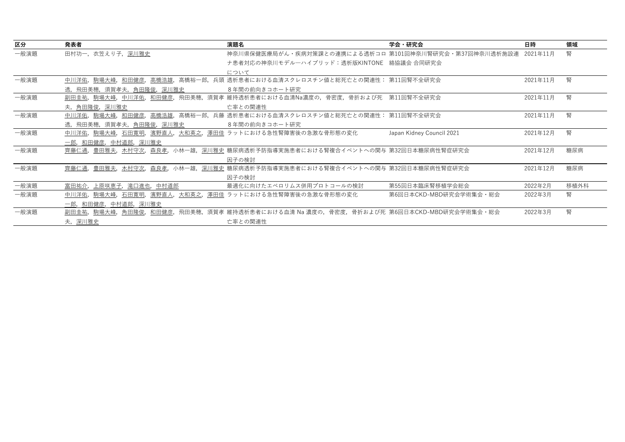| 区分   | 発表者                                           | 演題名                                                              | 学会・研究会                    | 日時       | 領域   |
|------|-----------------------------------------------|------------------------------------------------------------------|---------------------------|----------|------|
| 一般演題 | 田村功一、衣笠えり子、深川雅史                               | 神奈川県保健医療局がん・疾病対策課との連携による透析コロ 第101回神奈川腎研究会・第37回神奈川透析施設連           |                           | 2021年11月 | 腎    |
|      |                                               | ナ患者対応の神奈川モデルーハイブリッド:透析版KINTONE 絡協議会 合同研究会                        |                           |          |      |
|      |                                               | について                                                             |                           |          |      |
| 一般演題 | 和田健彦,<br>中川洋佑,駒場大峰,<br>高橋浩雄,                  | 高橋裕一郎,兵頭 透析患者における血清スクレロスチン値と総死亡との関連性: 第11回腎不全研究会                 |                           | 2021年11月 | 腎    |
|      | 透,飛田美穂,須賀孝夫,角田隆俊,深川雅史                         | 8年間の前向きコホート研究                                                    |                           |          |      |
| 一般演題 | 中川洋佑,和田健彦,<br>飛田美穂,<br>副田圭祐,駒場大峰,             | 須賀孝 維持透析患者における血清Na濃度の,骨密度,骨折および死 第11回腎不全研究会                      |                           | 2021年11月 | 腎    |
|      | 夫,角田隆俊,深川雅史                                   | 亡率との関連性                                                          |                           |          |      |
| 一般演題 | 中川洋佑, 駒場大峰,<br>和田健彦,<br>高橋浩雄,                 | 高橋裕一郎,兵藤 透析患者における血清スクレロスチン値と総死亡との関連性: 第11回腎不全研究会                 |                           | 2021年11月 | 腎    |
|      | 透,飛田美穂,須賀孝夫, <u>角田隆俊,深川雅史</u>                 | 8年間の前向きコホート研究                                                    |                           |          |      |
| 一般演題 | 中川洋佑, 駒場大峰, 石田寛明,<br>濱野直人,大和英之,               | 澤田佳 ラットにおける急性腎障害後の急激な骨形態の変化                                      | Japan Kidney Council 2021 | 2021年12月 | 腎    |
|      | 一郎,和田健彦,中村道郎,深川雅史                             |                                                                  |                           |          |      |
| 一般演題 | 豊田雅夫,<br>森良孝,<br>齊藤仁通,<br>木村守次.               | 小林一雄,深川雅史 糖尿病透析予防指導実施患者における腎複合イベントへの関与 第32回日本糖尿病性腎症研究会           |                           | 2021年12月 | 糖尿病  |
|      |                                               | 因子の検討                                                            |                           |          |      |
| 一般演題 | 齊藤仁通,<br>豊田雅夫,<br>木村守次,森良孝,                   | - 小林一雄,深川雅史 糖尿病透析予防指導実施患者における腎複合イベントへの関与 第32回日本糖尿病性腎症研究会         |                           | 2021年12月 | 糖尿病  |
|      |                                               | 因子の検討                                                            |                           |          |      |
| 一般演題 | 滝口進也,<br>富田祐介,<br>上原咲恵子,<br>中村道郎              | 最適化に向けたエベロリムス併用プロトコールの検討                                         | 第55回日本臨床腎移植学会総会           | 2022年2月  | 移植外科 |
| 一般演題 | 石田寛明,<br><u>濱野直人,大和英之</u> ,<br>駒場大峰,<br>中川洋佑, | 澤田佳 ラットにおける急性腎障害後の急激な骨形態の変化                                      | 第6回日本CKD-MBD研究会学術集会・総会    | 2022年3月  | 腎    |
|      | 一郎,和田健彦,中村道郎,深川雅史                             |                                                                  |                           |          |      |
| 一般演題 | 角田隆俊,和田健彦,<br><u>副田圭祐,駒場</u> 大峰,              | - 飛田美穂,須賀孝 維持透析患者における血清 Na 濃度の,骨密度,骨折および死 第6回日本CKD-MBD研究会学術集会・総会 |                           | 2022年3月  | 腎    |
|      | 夫,深川雅史                                        | 亡率との関連性                                                          |                           |          |      |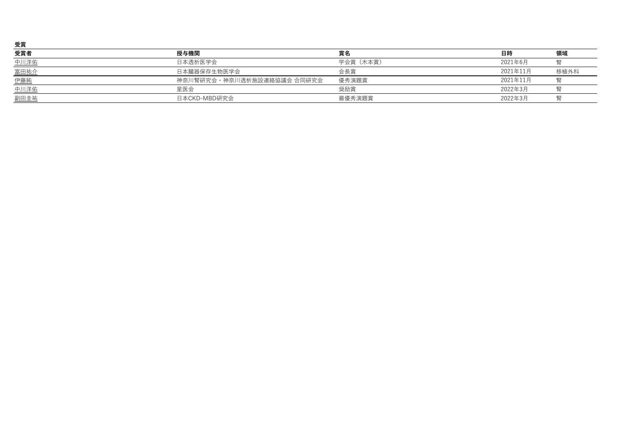| 受賞   |                            |           |          |      |
|------|----------------------------|-----------|----------|------|
| 受賞者  | 授与機関                       | 賞名        | 日時       | 領域   |
| 中川洋佑 | 日本透析医学会                    | 学会賞 (木本賞) | 2021年6月  |      |
| 富田祐介 | 日本臓器保存生物医学会                | 会長賞       | 2021年11月 | 移植外科 |
| 伊藤純  | 神奈川腎研究会・神奈川透析施設連絡協議会 合同研究会 | 優秀演題賞     | 2021年11月 |      |
| 中川洋佑 | 星医会                        | 奨励賞       | 2022年3月  |      |
| 副田圭祐 | 日本CKD-MBD研究会               | 最優秀演題賞    | 2022年3月  |      |